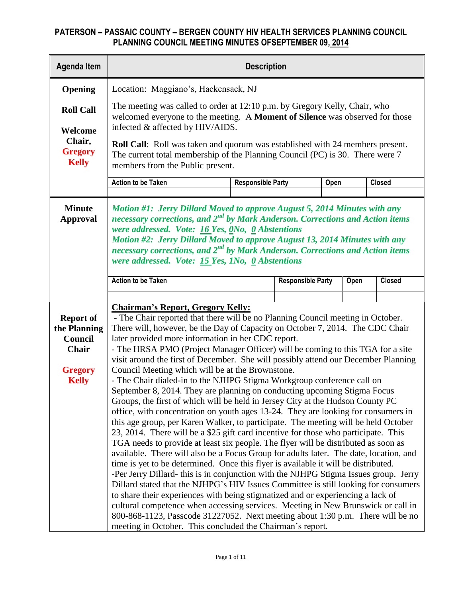| <b>Agenda Item</b>                                  |                                                                                                                                                                                                                                                                                                                                                                                                                                                               | <b>Description</b> |                          |  |      |               |  |  |  |  |
|-----------------------------------------------------|---------------------------------------------------------------------------------------------------------------------------------------------------------------------------------------------------------------------------------------------------------------------------------------------------------------------------------------------------------------------------------------------------------------------------------------------------------------|--------------------|--------------------------|--|------|---------------|--|--|--|--|
| Opening                                             | Location: Maggiano's, Hackensack, NJ                                                                                                                                                                                                                                                                                                                                                                                                                          |                    |                          |  |      |               |  |  |  |  |
| <b>Roll Call</b>                                    | The meeting was called to order at 12:10 p.m. by Gregory Kelly, Chair, who<br>welcomed everyone to the meeting. A Moment of Silence was observed for those                                                                                                                                                                                                                                                                                                    |                    |                          |  |      |               |  |  |  |  |
| Welcome<br>Chair,<br><b>Gregory</b><br><b>Kelly</b> | infected & affected by HIV/AIDS.<br><b>Roll Call:</b> Roll was taken and quorum was established with 24 members present.<br>The current total membership of the Planning Council (PC) is 30. There were 7<br>members from the Public present.                                                                                                                                                                                                                 |                    |                          |  |      |               |  |  |  |  |
|                                                     | <b>Action to be Taken</b><br><b>Responsible Party</b><br><b>Closed</b><br>Open                                                                                                                                                                                                                                                                                                                                                                                |                    |                          |  |      |               |  |  |  |  |
|                                                     |                                                                                                                                                                                                                                                                                                                                                                                                                                                               |                    |                          |  |      |               |  |  |  |  |
| <b>Minute</b><br><b>Approval</b>                    | Motion #1: Jerry Dillard Moved to approve August 5, 2014 Minutes with any<br>necessary corrections, and $2^{nd}$ by Mark Anderson. Corrections and Action items<br>were addressed. Vote: $16$ Yes, $0$ No, $0$ Abstentions<br>Motion #2: Jerry Dillard Moved to approve August 13, 2014 Minutes with any<br>necessary corrections, and 2 <sup>nd</sup> by Mark Anderson. Corrections and Action items<br>were addressed. Vote: $15$ Yes, 1No, $0$ Abstentions |                    |                          |  |      |               |  |  |  |  |
|                                                     | <b>Action to be Taken</b>                                                                                                                                                                                                                                                                                                                                                                                                                                     |                    | <b>Responsible Party</b> |  | Open | <b>Closed</b> |  |  |  |  |
|                                                     |                                                                                                                                                                                                                                                                                                                                                                                                                                                               |                    |                          |  |      |               |  |  |  |  |
|                                                     | <b>Chairman's Report, Gregory Kelly:</b>                                                                                                                                                                                                                                                                                                                                                                                                                      |                    |                          |  |      |               |  |  |  |  |
| <b>Report of</b>                                    | - The Chair reported that there will be no Planning Council meeting in October.                                                                                                                                                                                                                                                                                                                                                                               |                    |                          |  |      |               |  |  |  |  |
| the Planning<br>Council                             | There will, however, be the Day of Capacity on October 7, 2014. The CDC Chair                                                                                                                                                                                                                                                                                                                                                                                 |                    |                          |  |      |               |  |  |  |  |
| <b>Chair</b>                                        | later provided more information in her CDC report.<br>- The HRSA PMO (Project Manager Officer) will be coming to this TGA for a site                                                                                                                                                                                                                                                                                                                          |                    |                          |  |      |               |  |  |  |  |
|                                                     | visit around the first of December. She will possibly attend our December Planning                                                                                                                                                                                                                                                                                                                                                                            |                    |                          |  |      |               |  |  |  |  |
| <b>Gregory</b>                                      | Council Meeting which will be at the Brownstone.                                                                                                                                                                                                                                                                                                                                                                                                              |                    |                          |  |      |               |  |  |  |  |
| <b>Kelly</b>                                        | - The Chair dialed-in to the NJHPG Stigma Workgroup conference call on                                                                                                                                                                                                                                                                                                                                                                                        |                    |                          |  |      |               |  |  |  |  |
|                                                     | September 8, 2014. They are planning on conducting upcoming Stigma Focus                                                                                                                                                                                                                                                                                                                                                                                      |                    |                          |  |      |               |  |  |  |  |
|                                                     | Groups, the first of which will be held in Jersey City at the Hudson County PC                                                                                                                                                                                                                                                                                                                                                                                |                    |                          |  |      |               |  |  |  |  |
|                                                     | office, with concentration on youth ages 13-24. They are looking for consumers in<br>this age group, per Karen Walker, to participate. The meeting will be held October                                                                                                                                                                                                                                                                                       |                    |                          |  |      |               |  |  |  |  |
|                                                     | 23, 2014. There will be a \$25 gift card incentive for those who participate. This                                                                                                                                                                                                                                                                                                                                                                            |                    |                          |  |      |               |  |  |  |  |
|                                                     | TGA needs to provide at least six people. The flyer will be distributed as soon as                                                                                                                                                                                                                                                                                                                                                                            |                    |                          |  |      |               |  |  |  |  |
|                                                     | available. There will also be a Focus Group for adults later. The date, location, and                                                                                                                                                                                                                                                                                                                                                                         |                    |                          |  |      |               |  |  |  |  |
|                                                     | time is yet to be determined. Once this flyer is available it will be distributed.                                                                                                                                                                                                                                                                                                                                                                            |                    |                          |  |      |               |  |  |  |  |
|                                                     | -Per Jerry Dillard- this is in conjunction with the NJHPG Stigma Issues group. Jerry                                                                                                                                                                                                                                                                                                                                                                          |                    |                          |  |      |               |  |  |  |  |
|                                                     | Dillard stated that the NJHPG's HIV Issues Committee is still looking for consumers<br>to share their experiences with being stigmatized and or experiencing a lack of                                                                                                                                                                                                                                                                                        |                    |                          |  |      |               |  |  |  |  |
|                                                     | cultural competence when accessing services. Meeting in New Brunswick or call in                                                                                                                                                                                                                                                                                                                                                                              |                    |                          |  |      |               |  |  |  |  |
|                                                     | 800-868-1123, Passcode 31227052. Next meeting about 1:30 p.m. There will be no                                                                                                                                                                                                                                                                                                                                                                                |                    |                          |  |      |               |  |  |  |  |
|                                                     | meeting in October. This concluded the Chairman's report.                                                                                                                                                                                                                                                                                                                                                                                                     |                    |                          |  |      |               |  |  |  |  |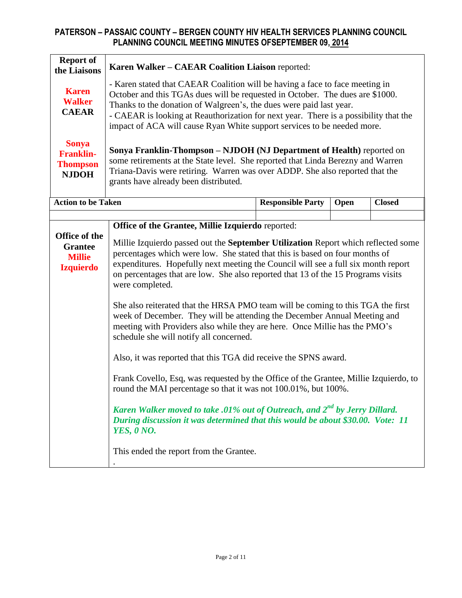| <b>Report of</b><br>the Liaisons                                     | Karen Walker - CAEAR Coalition Liaison reported:                                                                                                                                                                                                                                                                                                                                                        |                                                                                                                                                                          |      |               |  |  |  |  |
|----------------------------------------------------------------------|---------------------------------------------------------------------------------------------------------------------------------------------------------------------------------------------------------------------------------------------------------------------------------------------------------------------------------------------------------------------------------------------------------|--------------------------------------------------------------------------------------------------------------------------------------------------------------------------|------|---------------|--|--|--|--|
| <b>Karen</b><br><b>Walker</b><br><b>CAEAR</b>                        | - Karen stated that CAEAR Coalition will be having a face to face meeting in<br>October and this TGAs dues will be requested in October. The dues are \$1000.<br>Thanks to the donation of Walgreen's, the dues were paid last year.<br>- CAEAR is looking at Reauthorization for next year. There is a possibility that the<br>impact of ACA will cause Ryan White support services to be needed more. |                                                                                                                                                                          |      |               |  |  |  |  |
| <b>Sonya</b><br><b>Franklin-</b><br><b>Thompson</b><br><b>NJDOH</b>  | Sonya Franklin-Thompson - NJDOH (NJ Department of Health) reported on<br>some retirements at the State level. She reported that Linda Berezny and Warren<br>Triana-Davis were retiring. Warren was over ADDP. She also reported that the<br>grants have already been distributed.                                                                                                                       |                                                                                                                                                                          |      |               |  |  |  |  |
| <b>Action to be Taken</b>                                            |                                                                                                                                                                                                                                                                                                                                                                                                         | <b>Responsible Party</b>                                                                                                                                                 | Open | <b>Closed</b> |  |  |  |  |
|                                                                      | Office of the Grantee, Millie Izquierdo reported:                                                                                                                                                                                                                                                                                                                                                       |                                                                                                                                                                          |      |               |  |  |  |  |
| Office of the<br><b>Grantee</b><br><b>Millie</b><br><b>Izquierdo</b> | Millie Izquierdo passed out the September Utilization Report which reflected some<br>percentages which were low. She stated that this is based on four months of<br>expenditures. Hopefully next meeting the Council will see a full six month report<br>on percentages that are low. She also reported that 13 of the 15 Programs visits<br>were completed.                                            |                                                                                                                                                                          |      |               |  |  |  |  |
|                                                                      | She also reiterated that the HRSA PMO team will be coming to this TGA the first<br>week of December. They will be attending the December Annual Meeting and<br>meeting with Providers also while they are here. Once Millie has the PMO's<br>schedule she will notify all concerned.                                                                                                                    |                                                                                                                                                                          |      |               |  |  |  |  |
|                                                                      | Also, it was reported that this TGA did receive the SPNS award.                                                                                                                                                                                                                                                                                                                                         |                                                                                                                                                                          |      |               |  |  |  |  |
|                                                                      | Frank Covello, Esq, was requested by the Office of the Grantee, Millie Izquierdo, to<br>round the MAI percentage so that it was not 100.01%, but 100%.                                                                                                                                                                                                                                                  |                                                                                                                                                                          |      |               |  |  |  |  |
|                                                                      | <b>YES, 0 NO.</b>                                                                                                                                                                                                                                                                                                                                                                                       | Karen Walker moved to take .01% out of Outreach, and 2 <sup>nd</sup> by Jerry Dillard.<br>During discussion it was determined that this would be about \$30.00. Vote: 11 |      |               |  |  |  |  |
|                                                                      | This ended the report from the Grantee.                                                                                                                                                                                                                                                                                                                                                                 |                                                                                                                                                                          |      |               |  |  |  |  |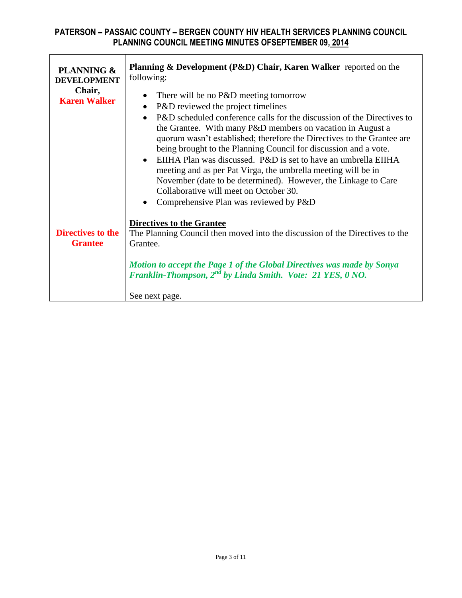| <b>PLANNING &amp;</b><br><b>DEVELOPMENT</b><br>Chair,<br><b>Karen Walker</b> | <b>Planning &amp; Development (P&amp;D) Chair, Karen Walker</b> reported on the<br>following:<br>There will be no P&D meeting tomorrow<br>P&D reviewed the project timelines<br>$\bullet$<br>P&D scheduled conference calls for the discussion of the Directives to<br>the Grantee. With many P&D members on vacation in August a<br>quorum wasn't established; therefore the Directives to the Grantee are<br>being brought to the Planning Council for discussion and a vote.<br>$\bullet$ EIIHA Plan was discussed. P&D is set to have an umbrella EIIHA<br>meeting and as per Pat Virga, the umbrella meeting will be in<br>November (date to be determined). However, the Linkage to Care<br>Collaborative will meet on October 30.<br>Comprehensive Plan was reviewed by P&D |
|------------------------------------------------------------------------------|------------------------------------------------------------------------------------------------------------------------------------------------------------------------------------------------------------------------------------------------------------------------------------------------------------------------------------------------------------------------------------------------------------------------------------------------------------------------------------------------------------------------------------------------------------------------------------------------------------------------------------------------------------------------------------------------------------------------------------------------------------------------------------|
| <b>Directives to the</b><br><b>Grantee</b>                                   | <b>Directives to the Grantee</b><br>The Planning Council then moved into the discussion of the Directives to the<br>Grantee.<br>Motion to accept the Page 1 of the Global Directives was made by Sonya<br>Franklin-Thompson, 2 <sup>nd</sup> by Linda Smith. Vote: 21 YES, 0 NO.<br>See next page.                                                                                                                                                                                                                                                                                                                                                                                                                                                                                 |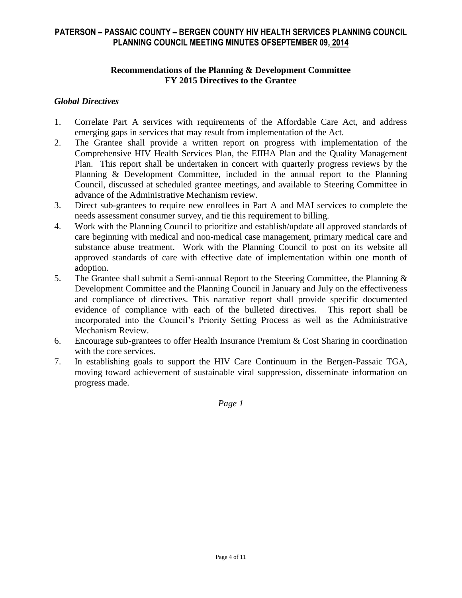#### **Recommendations of the Planning & Development Committee FY 2015 Directives to the Grantee**

#### *Global Directives*

- 1. Correlate Part A services with requirements of the Affordable Care Act, and address emerging gaps in services that may result from implementation of the Act.
- 2. The Grantee shall provide a written report on progress with implementation of the Comprehensive HIV Health Services Plan, the EIIHA Plan and the Quality Management Plan. This report shall be undertaken in concert with quarterly progress reviews by the Planning & Development Committee, included in the annual report to the Planning Council, discussed at scheduled grantee meetings, and available to Steering Committee in advance of the Administrative Mechanism review.
- 3. Direct sub-grantees to require new enrollees in Part A and MAI services to complete the needs assessment consumer survey, and tie this requirement to billing.
- 4. Work with the Planning Council to prioritize and establish/update all approved standards of care beginning with medical and non-medical case management, primary medical care and substance abuse treatment. Work with the Planning Council to post on its website all approved standards of care with effective date of implementation within one month of adoption.
- 5. The Grantee shall submit a Semi-annual Report to the Steering Committee, the Planning & Development Committee and the Planning Council in January and July on the effectiveness and compliance of directives. This narrative report shall provide specific documented evidence of compliance with each of the bulleted directives. This report shall be incorporated into the Council's Priority Setting Process as well as the Administrative Mechanism Review.
- 6. Encourage sub-grantees to offer Health Insurance Premium & Cost Sharing in coordination with the core services.
- 7. In establishing goals to support the HIV Care Continuum in the Bergen-Passaic TGA, moving toward achievement of sustainable viral suppression, disseminate information on progress made.

*Page 1*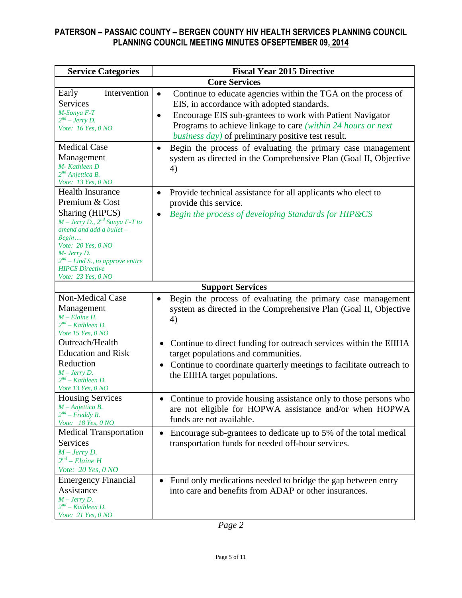| <b>Service Categories</b>                                                                                                                                                                                                                                                       | <b>Fiscal Year 2015 Directive</b>                                                                                                                                                                                                                                                                                        |
|---------------------------------------------------------------------------------------------------------------------------------------------------------------------------------------------------------------------------------------------------------------------------------|--------------------------------------------------------------------------------------------------------------------------------------------------------------------------------------------------------------------------------------------------------------------------------------------------------------------------|
|                                                                                                                                                                                                                                                                                 | <b>Core Services</b>                                                                                                                                                                                                                                                                                                     |
| Intervention<br>Early<br><b>Services</b><br>M-Sonya F-T<br>$2^{nd}$ – Jerry D.<br>Vote: 16 Yes, 0 NO                                                                                                                                                                            | Continue to educate agencies within the TGA on the process of<br>$\bullet$<br>EIS, in accordance with adopted standards.<br>Encourage EIS sub-grantees to work with Patient Navigator<br>$\bullet$<br>Programs to achieve linkage to care (within 24 hours or next<br>business day) of preliminary positive test result. |
| <b>Medical Case</b><br>Management<br>M-Kathleen D<br>2 <sup>nd</sup> Anjettica B.<br>Vote: 13 Yes, 0 NO                                                                                                                                                                         | Begin the process of evaluating the primary case management<br>$\bullet$<br>system as directed in the Comprehensive Plan (Goal II, Objective<br>4)                                                                                                                                                                       |
| <b>Health Insurance</b><br>Premium & Cost<br>Sharing (HIPCS)<br>$M$ – Jerry D., $2^{nd}$ Sonya F-T to<br>amend and add a bullet -<br>Begin<br><i>Vote: 20 Yes, 0 NO</i><br>M- Jerry D.<br>$2^{nd}$ – Lind S., to approve entire<br><b>HIPCS Directive</b><br>Vote: 23 Yes, 0 NO | Provide technical assistance for all applicants who elect to<br>$\bullet$<br>provide this service.<br>Begin the process of developing Standards for HIP&CS                                                                                                                                                               |
|                                                                                                                                                                                                                                                                                 | <b>Support Services</b>                                                                                                                                                                                                                                                                                                  |
| Non-Medical Case<br>Management<br>$M$ – Elaine H.<br>$2^{nd}$ – Kathleen D.<br>Vote 15 Yes, 0 NO                                                                                                                                                                                | Begin the process of evaluating the primary case management<br>system as directed in the Comprehensive Plan (Goal II, Objective<br>4)                                                                                                                                                                                    |
| Outreach/Health<br><b>Education and Risk</b><br>Reduction<br>$M$ – Jerry D.<br>$2^{nd}$ – Kathleen D.<br>Vote 13 Yes, 0 NO                                                                                                                                                      | Continue to direct funding for outreach services within the EIIHA<br>$\bullet$<br>target populations and communities.<br>Continue to coordinate quarterly meetings to facilitate outreach to<br>$\bullet$<br>the EIIHA target populations.                                                                               |
| <b>Housing Services</b><br>$M$ -Anjettica B.<br>$2^{nd}$ – Freddy R.<br>Vote: 18 Yes, 0 NO                                                                                                                                                                                      | Continue to provide housing assistance only to those persons who<br>are not eligible for HOPWA assistance and/or when HOPWA<br>funds are not available.                                                                                                                                                                  |
| <b>Medical Transportation</b><br>Services<br>$M$ – Jerry D.<br>$2^{nd}$ – Elaine H<br>Vote: 20 Yes, 0 NO                                                                                                                                                                        | Encourage sub-grantees to dedicate up to 5% of the total medical<br>$\bullet$<br>transportation funds for needed off-hour services.                                                                                                                                                                                      |
| <b>Emergency Financial</b><br>Assistance<br>$M$ – Jerry D.<br>$2^{nd}$ – Kathleen D.<br>Vote: 21 Yes, 0 NO                                                                                                                                                                      | Fund only medications needed to bridge the gap between entry<br>into care and benefits from ADAP or other insurances.                                                                                                                                                                                                    |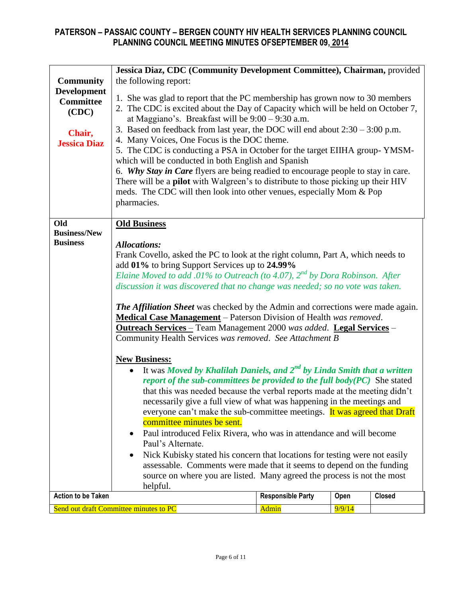|                                                           | Jessica Diaz, CDC (Community Development Committee), Chairman, provided                                                                                                                                                                                                                                                                                                                                                                                                                                                                                                                                                                                                                                                                                                                                      |                                                                                                                                                                                                                                                                                                                                                          |        |        |  |  |  |  |  |  |  |
|-----------------------------------------------------------|--------------------------------------------------------------------------------------------------------------------------------------------------------------------------------------------------------------------------------------------------------------------------------------------------------------------------------------------------------------------------------------------------------------------------------------------------------------------------------------------------------------------------------------------------------------------------------------------------------------------------------------------------------------------------------------------------------------------------------------------------------------------------------------------------------------|----------------------------------------------------------------------------------------------------------------------------------------------------------------------------------------------------------------------------------------------------------------------------------------------------------------------------------------------------------|--------|--------|--|--|--|--|--|--|--|
| <b>Community</b>                                          | the following report:                                                                                                                                                                                                                                                                                                                                                                                                                                                                                                                                                                                                                                                                                                                                                                                        |                                                                                                                                                                                                                                                                                                                                                          |        |        |  |  |  |  |  |  |  |
| <b>Development</b><br><b>Committee</b><br>(CDC)<br>Chair, |                                                                                                                                                                                                                                                                                                                                                                                                                                                                                                                                                                                                                                                                                                                                                                                                              | 1. She was glad to report that the PC membership has grown now to 30 members<br>2. The CDC is excited about the Day of Capacity which will be held on October 7,<br>at Maggiano's. Breakfast will be $9:00 - 9:30$ a.m.<br>3. Based on feedback from last year, the DOC will end about $2:30 - 3:00$ p.m.<br>4. Many Voices, One Focus is the DOC theme. |        |        |  |  |  |  |  |  |  |
| <b>Jessica Diaz</b>                                       | 5. The CDC is conducting a PSA in October for the target EIIHA group-YMSM-<br>which will be conducted in both English and Spanish<br>6. Why Stay in Care flyers are being readied to encourage people to stay in care.<br>There will be a <b>pilot</b> with Walgreen's to distribute to those picking up their HIV<br>meds. The CDC will then look into other venues, especially Mom & Pop<br>pharmacies.                                                                                                                                                                                                                                                                                                                                                                                                    |                                                                                                                                                                                                                                                                                                                                                          |        |        |  |  |  |  |  |  |  |
|                                                           |                                                                                                                                                                                                                                                                                                                                                                                                                                                                                                                                                                                                                                                                                                                                                                                                              |                                                                                                                                                                                                                                                                                                                                                          |        |        |  |  |  |  |  |  |  |
| Old<br><b>Business/New</b><br><b>Business</b>             | <b>Old Business</b><br><b>Allocations:</b>                                                                                                                                                                                                                                                                                                                                                                                                                                                                                                                                                                                                                                                                                                                                                                   | Frank Covello, asked the PC to look at the right column, Part A, which needs to<br>add 01% to bring Support Services up to 24.99%<br>Elaine Moved to add .01% to Outreach (to 4.07), $2^{nd}$ by Dora Robinson. After<br>discussion it was discovered that no change was needed; so no vote was taken.                                                   |        |        |  |  |  |  |  |  |  |
|                                                           | <b>The Affiliation Sheet</b> was checked by the Admin and corrections were made again.<br><b>Medical Case Management</b> – Paterson Division of Health was removed.<br><b>Outreach Services</b> - Team Management 2000 was added. Legal Services -<br>Community Health Services was removed. See Attachment B                                                                                                                                                                                                                                                                                                                                                                                                                                                                                                |                                                                                                                                                                                                                                                                                                                                                          |        |        |  |  |  |  |  |  |  |
|                                                           | <b>New Business:</b><br>It was Moved by Khalilah Daniels, and $2^{nd}$ by Linda Smith that a written<br>$\bullet$<br>report of the sub-committees be provided to the full body $(PC)$ She stated<br>that this was needed because the verbal reports made at the meeting didn't<br>necessarily give a full view of what was happening in the meetings and<br>everyone can't make the sub-committee meetings. It was agreed that Draft<br>committee minutes be sent.<br>Paul introduced Felix Rivera, who was in attendance and will become<br>Paul's Alternate.<br>Nick Kubisky stated his concern that locations for testing were not easily<br>assessable. Comments were made that it seems to depend on the funding<br>source on where you are listed. Many agreed the process is not the most<br>helpful. |                                                                                                                                                                                                                                                                                                                                                          |        |        |  |  |  |  |  |  |  |
| <b>Action to be Taken</b>                                 |                                                                                                                                                                                                                                                                                                                                                                                                                                                                                                                                                                                                                                                                                                                                                                                                              | <b>Responsible Party</b>                                                                                                                                                                                                                                                                                                                                 | Open   | Closed |  |  |  |  |  |  |  |
|                                                           | Send out draft Committee minutes to PC                                                                                                                                                                                                                                                                                                                                                                                                                                                                                                                                                                                                                                                                                                                                                                       | Admin                                                                                                                                                                                                                                                                                                                                                    | 9/9/14 |        |  |  |  |  |  |  |  |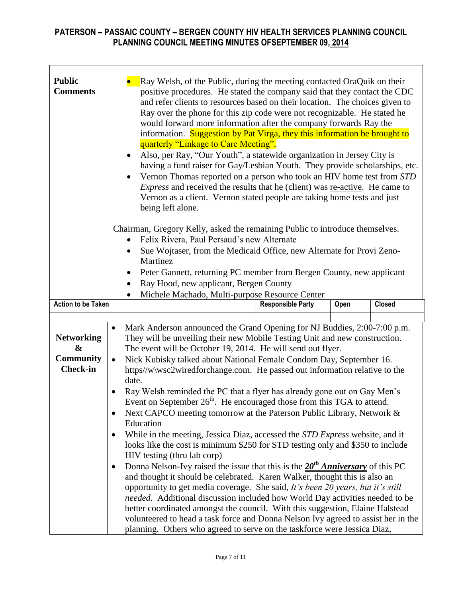| <b>Public</b><br><b>Comments</b>                              | Ray Welsh, of the Public, during the meeting contacted OraQuik on their<br>positive procedures. He stated the company said that they contact the CDC<br>and refer clients to resources based on their location. The choices given to<br>Ray over the phone for this zip code were not recognizable. He stated he<br>would forward more information after the company forwards Ray the<br>information. Suggestion by Pat Virga, they this information be brought to<br>quarterly "Linkage to Care Meeting".<br>Also, per Ray, "Our Youth", a statewide organization in Jersey City is<br>$\bullet$<br>having a fund raiser for Gay/Lesbian Youth. They provide scholarships, etc.<br>Vernon Thomas reported on a person who took an HIV home test from STD<br>٠<br>Express and received the results that he (client) was re-active. He came to<br>Vernon as a client. Vernon stated people are taking home tests and just<br>being left alone.                                                                                                                                                                                                                                                                                                                                                                                                                                                                                                                                                                                                                                             |                                                                                                                                                                                                                               |      |               |  |  |  |  |  |
|---------------------------------------------------------------|-------------------------------------------------------------------------------------------------------------------------------------------------------------------------------------------------------------------------------------------------------------------------------------------------------------------------------------------------------------------------------------------------------------------------------------------------------------------------------------------------------------------------------------------------------------------------------------------------------------------------------------------------------------------------------------------------------------------------------------------------------------------------------------------------------------------------------------------------------------------------------------------------------------------------------------------------------------------------------------------------------------------------------------------------------------------------------------------------------------------------------------------------------------------------------------------------------------------------------------------------------------------------------------------------------------------------------------------------------------------------------------------------------------------------------------------------------------------------------------------------------------------------------------------------------------------------------------------|-------------------------------------------------------------------------------------------------------------------------------------------------------------------------------------------------------------------------------|------|---------------|--|--|--|--|--|
|                                                               | Felix Rivera, Paul Persaud's new Alternate<br>Martinez<br>Ray Hood, new applicant, Bergen County                                                                                                                                                                                                                                                                                                                                                                                                                                                                                                                                                                                                                                                                                                                                                                                                                                                                                                                                                                                                                                                                                                                                                                                                                                                                                                                                                                                                                                                                                          | Chairman, Gregory Kelly, asked the remaining Public to introduce themselves.<br>Sue Wojtaser, from the Medicaid Office, new Alternate for Provi Zeno-<br>Peter Gannett, returning PC member from Bergen County, new applicant |      |               |  |  |  |  |  |
| <b>Action to be Taken</b>                                     |                                                                                                                                                                                                                                                                                                                                                                                                                                                                                                                                                                                                                                                                                                                                                                                                                                                                                                                                                                                                                                                                                                                                                                                                                                                                                                                                                                                                                                                                                                                                                                                           |                                                                                                                                                                                                                               | Open | <b>Closed</b> |  |  |  |  |  |
| <b>Networking</b><br>&<br><b>Community</b><br><b>Check-in</b> | Michele Machado, Multi-purpose Resource Center<br><b>Responsible Party</b><br>Mark Anderson announced the Grand Opening for NJ Buddies, 2:00-7:00 p.m.<br>$\bullet$<br>They will be unveiling their new Mobile Testing Unit and new construction.<br>The event will be October 19, 2014. He will send out flyer.<br>Nick Kubisky talked about National Female Condom Day, September 16.<br>$\bullet$<br>https//w/wsc2wiredforchange.com. He passed out information relative to the<br>date.<br>Ray Welsh reminded the PC that a flyer has already gone out on Gay Men's<br>Event on September 26 <sup>th</sup> . He encouraged those from this TGA to attend.<br>Next CAPCO meeting tomorrow at the Paterson Public Library, Network &<br>$\bullet$<br>Education<br>While in the meeting, Jessica Diaz, accessed the <i>STD Express</i> website, and it<br>$\bullet$<br>looks like the cost is minimum \$250 for STD testing only and \$350 to include<br>HIV testing (thru lab corp)<br>Donna Nelson-Ivy raised the issue that this is the $20th$ Anniversary of this PC<br>$\bullet$<br>and thought it should be celebrated. Karen Walker, thought this is also an<br>opportunity to get media coverage. She said, It's been 20 years, but it's still<br>needed. Additional discussion included how World Day activities needed to be<br>better coordinated amongst the council. With this suggestion, Elaine Halstead<br>volunteered to head a task force and Donna Nelson Ivy agreed to assist her in the<br>planning. Others who agreed to serve on the taskforce were Jessica Diaz, |                                                                                                                                                                                                                               |      |               |  |  |  |  |  |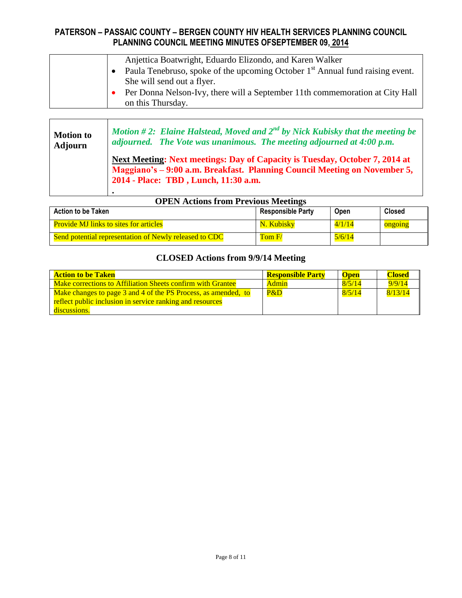|  | Anjettica Boatwright, Eduardo Elizondo, and Karen Walker                                  |
|--|-------------------------------------------------------------------------------------------|
|  | Paula Tenebruso, spoke of the upcoming October 1 <sup>st</sup> Annual fund raising event. |
|  | She will send out a flyer.                                                                |
|  | Per Donna Nelson-Ivy, there will a September 11th commemoration at City Hall              |
|  | on this Thursday.                                                                         |

| <b>Motion to</b> | Motion #2: Elaine Halstead, Moved and $2^{nd}$ by Nick Kubisky that the meeting be                                                                                                               |
|------------------|--------------------------------------------------------------------------------------------------------------------------------------------------------------------------------------------------|
| <b>Adjourn</b>   | adjourned. The Vote was unanimous. The meeting adjourned at $4:00$ p.m.                                                                                                                          |
|                  | Next Meeting: Next meetings: Day of Capacity is Tuesday, October 7, 2014 at<br>Maggiano's – 9:00 a.m. Breakfast. Planning Council Meeting on November 5,<br>2014 - Place: TBD, Lunch, 11:30 a.m. |

|  |  |  |  | <b>OPEN Actions from Previous Meetings</b> |
|--|--|--|--|--------------------------------------------|
|--|--|--|--|--------------------------------------------|

| <b>Action to be Taken</b>                              | <b>Responsible Party</b> | Open   | <b>Closed</b> |
|--------------------------------------------------------|--------------------------|--------|---------------|
| <b>Provide MJ links to sites for articles</b>          | N. Kubisky               | 4/1/14 | ongoing       |
| Send potential representation of Newly released to CDC | TomF/                    | 5/6/14 |               |

# **CLOSED Actions from 9/9/14 Meeting**

| <b>Action to be Taken</b>                                      | <b>Responsible Party</b> | <b>Open</b> | Closed  |
|----------------------------------------------------------------|--------------------------|-------------|---------|
| Make corrections to Affiliation Sheets confirm with Grantee    | Admin                    | 8/5/14      | 9/9/14  |
| Make changes to page 3 and 4 of the PS Process, as amended, to | P&D                      | 8/5/14      | 8/13/14 |
| reflect public inclusion in service ranking and resources      |                          |             |         |
| discussions.                                                   |                          |             |         |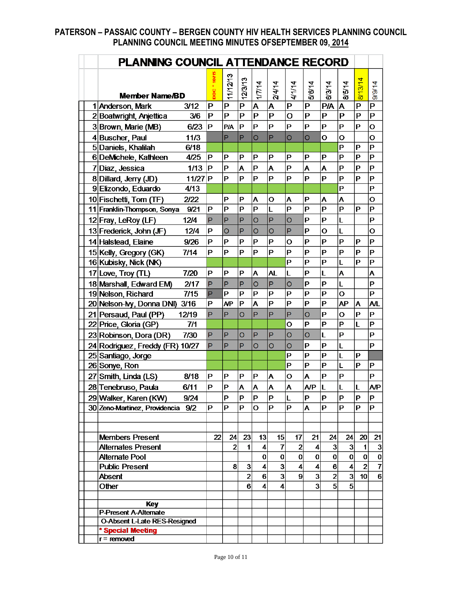| PLANNING COUNCIL ATTENDANCE RECORD  |    |                |                |                |                         |                  |                         |                |                |                |                    |
|-------------------------------------|----|----------------|----------------|----------------|-------------------------|------------------|-------------------------|----------------|----------------|----------------|--------------------|
| <b>Member Name/BD</b>               |    | 11/12/13       | 12/3/13        | 1/7/14         | 24/14                   | 4/1/14           | 5/8/14                  | 6/3/14         | 8/5/14         | 8/13/14        | 9/9/14             |
| 1 Anderson, Mark<br>3/12            | P  | P              | $\overline{P}$ | A              | A                       | $\mathsf{P}$     | P                       | <b>P/A</b>     | A              | P              | $\mathsf{P}$       |
| 3/6<br>2 Boatwright, Anjettica      | P  | P              | P              | $\overline{P}$ | P                       | $\overline{O}$   | P                       | P              | P              | P              | P                  |
| 3 Brown, Marie (MB)<br>6/23         | P  | <b>P/A</b>     | P              | $\mathbf P$    | $\mathsf P$             | P                | P                       | P              | P              | P              | $\mathbf{o}$       |
| 4 Buscher, Paul<br>11/3             |    | P              | P              | O              | P                       | $\circ$          | O                       | $\mathbf O$    | $\mathbf O$    |                | $\mathbf{o}$       |
| 5 Daniels, Khalilah<br>6/18         |    |                |                |                |                         |                  |                         |                | P              | Ρ              | P                  |
| 6DeMichele, Kathleen<br>4/25        | P  | P              | P              | P              | P                       | P                | P                       | P              | P              | P              | P                  |
| 7Diaz, Jessica<br>$1/13$            | P  | P              | A              | $\mathsf{P}$   | Ă                       | $\mathbf P$      | Â                       | A              | P              | P              | P                  |
| 8 Dillard, Jerry (JD)<br>$11/27$ P  |    | P              | P              | P              | P                       | P                | P                       | P              | P              | P              | P                  |
| 9 Elizondo, Eduardo<br>4/13         |    |                |                |                |                         |                  |                         |                | P              |                | P                  |
| 10 Fischetti, Tom (TF)<br>2/22      |    | P              | P              | Α              | О                       | Α                | P                       | Α              | Α              |                | $\mathbf{o}$       |
| 11 Franklin-Thompson, Sonya<br>9/21 | P  | P              | P              | $\overline{P}$ | L                       | $\overline{P}$   | P                       | P              | $\overline{P}$ | P              | P                  |
| 12 Fray, LeRoy (LF)<br>12/4         | P  | P              | P              | O              | P                       | $\circ$          | P                       | P              | L              |                | P                  |
| 13 Frederick, John (JF)<br>12/4     | P  | $\overline{O}$ | P              | $\overline{O}$ | $\overline{O}$          | P                | P                       | O              | L              |                | $\overline{O}$     |
| 14 Halstead, Elaine<br>9/26         | P  | P              | P              | P              | P                       | O                | P                       | P              | P              | P              | P                  |
| 15 Kelly, Gregory (GK)<br>7/14      | P  | P              | P              | P              | $\mathbf P$             | P                | P                       | P              | P              | P              | P                  |
| 16 Kubisky, Nick (NK)               |    |                |                |                |                         | P                | P                       | P              | L              | P              | P                  |
| 17 Love, Troy (TL)<br>7/20          | Р  | P              | P              | A              | <b>AL</b>               | L                | P                       | L              | A              |                | A                  |
| 18 Marshall, Edward EM)<br>2/17     | P  | P              | P              | $\circ$        | P                       | $\circ$          | Р                       | P              | L              |                | P                  |
| 7/15<br>19 Nelson, Richard          | P  | P              | P              | P              | P                       | P                | P                       | P              | $\mathbf{o}$   |                | P                  |
| 20 Nelson-My, Donna DNI) 3/16       | Р  | <b>AP</b>      | P              | A              | P                       | P                | P                       | P              | <b>AP</b>      | A              | <b>A/L</b>         |
| 21 Persaud, Paul (PP)<br>12/19      | P  | P              | $\overline{O}$ | P              | P                       | P                | O                       | P              | O              | P              | P                  |
| 22 Price, Gloria (GP)<br>7/1        |    |                |                |                |                         | O                | P                       | P              | P              | L              | P                  |
| 7/30<br>23 Robinson, Dora (DR)      | P  | P              | O              | P              | P                       | $\circ$          | $\circ$                 | L              | $\mathsf P$    |                | P                  |
| 24 Rodriguez, Freddy (FR) 10/27     | P  | P              | P              | O              | O                       | $\circ$          | P                       | P              | L              |                | P                  |
| 25 Santiago, Jorge                  |    |                |                |                |                         | P                | P                       | P              | L              | Ρ              |                    |
| 26 Sonye, Ron                       |    |                |                |                |                         | P                | P                       | P              | L              | P              | P                  |
| 27 Smith, Linda (LS)<br>8/18        | P  | Р              | P              | P              | A                       | $\mathbf{o}$     | A                       | P              | P              |                | $\mathsf P$        |
|                                     |    |                |                |                | A                       | A                |                         |                |                |                |                    |
| 28 Tenebruso, Paula<br>6/11         | Р  | P              | Α              | Α              |                         |                  | <b>A/P</b>              | L              | L              | L              | A/P                |
| 29 Walker, Karen (KW)<br>9/24       |    | Ρ              | ΙP<br>P        | P              | P<br>Þ                  | L<br>P           | P                       | $\mathsf P$    | P<br>P         | Ρ              | ΙP<br>P            |
| 30 Zeno-Martinez, Providencia 9/2   | P  | P              |                | $\mathbf O$    |                         |                  | A                       | P              |                | P              |                    |
|                                     |    |                |                |                |                         |                  |                         |                |                |                |                    |
| <b>Members Present</b>              | 22 | 24             | 23             | 13             | 15                      | 17               | 21                      | 24             | 24             | 20             |                    |
| <b>Alternates Present</b>           |    | $\mathbf{2}$   | 1              | $\overline{4}$ | 7                       | $\overline{2}$   | 4                       | $\mathbf{3}$   | $\mathbf{3}$   | 1              | 21<br>$\mathbf{3}$ |
| Alternate Pool                      |    |                |                | $\mathbf 0$    | 0                       | $\bf{0}$         | 0                       | $\mathbf{0}$   | $\mathbf{0}$   | $\bf{0}$       | $\pmb{0}$          |
| <b>Public Present</b>               |    | 8              | 3              | $\overline{4}$ | 3                       | $\boldsymbol{4}$ | 4                       | $6\phantom{1}$ | 4              | $\overline{2}$ | $\overline{7}$     |
| <b>Absent</b>                       |    |                | $\overline{2}$ | 6              | $\overline{\mathbf{3}}$ | $\boldsymbol{9}$ | $\overline{\mathbf{3}}$ | $\overline{2}$ | 3              | 10             | $6\overline{6}$    |
| Other                               |    |                | 6              | 4              | 4                       |                  | 3                       | 5 <sup>1</sup> | 5              |                |                    |
|                                     |    |                |                |                |                         |                  |                         |                |                |                |                    |
| <b>Key</b>                          |    |                |                |                |                         |                  |                         |                |                |                |                    |
| <b>P-Present A-Alternate</b>        |    |                |                |                |                         |                  |                         |                |                |                |                    |
| <b>O-Absent L-Late RES-Resigned</b> |    |                |                |                |                         |                  |                         |                |                |                |                    |
| * Special Meeting<br>$r =$ removed  |    |                |                |                |                         |                  |                         |                |                |                |                    |
|                                     |    |                |                |                |                         |                  |                         |                |                |                |                    |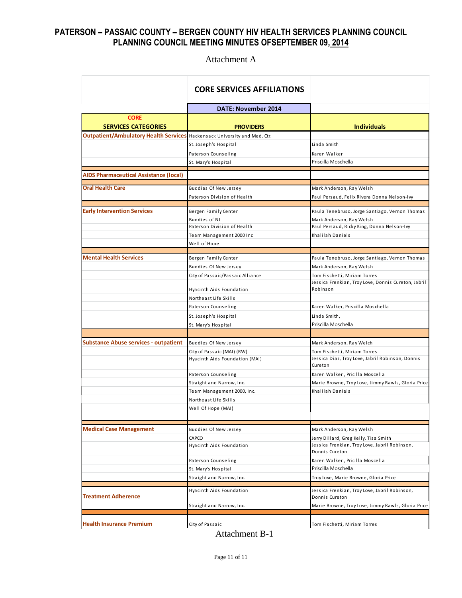Attachment A

|                                                                                  | <b>CORE SERVICES AFFILIATIONS</b>                            |                                                                                  |
|----------------------------------------------------------------------------------|--------------------------------------------------------------|----------------------------------------------------------------------------------|
|                                                                                  | <b>DATE: November 2014</b>                                   |                                                                                  |
| <b>CORE</b><br><b>SERVICES CATEGORIES</b>                                        | <b>PROVIDERS</b>                                             | <b>Individuals</b>                                                               |
| <b>Outpatient/Ambulatory Health Services</b> Hackensack University and Med. Ctr. |                                                              |                                                                                  |
|                                                                                  | St. Joseph's Hospital                                        | Linda Smith                                                                      |
|                                                                                  | Paterson Counseling                                          | Karen Walker                                                                     |
|                                                                                  | St. Mary's Hospital                                          | Priscilla Moschella                                                              |
| AIDS Pharmaceutical Assistance (local)                                           |                                                              |                                                                                  |
| <b>Oral Health Care</b>                                                          | Buddies Of New Jersey                                        | Mark Anderson, Ray Welsh                                                         |
|                                                                                  | Paterson Division of Health                                  | Paul Persaud, Felix Rivera Donna Nelson-Ivy                                      |
|                                                                                  |                                                              |                                                                                  |
| <b>Early Intervention Services</b>                                               | Bergen Family Center                                         | Paula Tenebruso, Jorge Santiago, Vernon Thomas                                   |
|                                                                                  | Buddies of NJ                                                | Mark Anderson, Ray Welsh                                                         |
|                                                                                  | Paterson Division of Health                                  | Paul Persaud, Ricky King, Donna Nelson-Ivy                                       |
|                                                                                  | Team Management 2000 Inc                                     | Khalilah Daniels                                                                 |
|                                                                                  | Well of Hope                                                 |                                                                                  |
| <b>Mental Health Services</b>                                                    | Bergen Family Center                                         | Paula Tenebruso, Jorge Santiago, Vernon Thomas                                   |
|                                                                                  | <b>Buddies Of New Jersey</b>                                 | Mark Anderson, Ray Welsh                                                         |
|                                                                                  | City of Passaic/Passaic Alliance                             | Tom Fischetti, Miriam Torres                                                     |
|                                                                                  |                                                              | Jessica Frenkian, Troy Love, Donnis Cureton, Jabril                              |
|                                                                                  | Hyacinth Aids Foundation                                     | Robinson                                                                         |
|                                                                                  | Northeast Life Skills                                        |                                                                                  |
|                                                                                  | Paterson Counseling                                          | Karen Walker, Priscilla Moschella                                                |
|                                                                                  | St. Joseph's Hospital                                        | Linda Smith,                                                                     |
|                                                                                  | St. Mary's Hospital                                          | Priscilla Moschella                                                              |
|                                                                                  |                                                              |                                                                                  |
| <b>Substance Abuse services - outpatient</b>                                     | Buddies Of New Jersey                                        | Mark Anderson, Ray Welch                                                         |
|                                                                                  | City of Passaic (MAI) (RW)<br>Hyacinth Aids Foundation (MAI) | Tom Fischetti, Miriam Torres<br>Jessica Diaz, Troy Love, Jabril Robinson, Donnis |
|                                                                                  |                                                              | Cureton                                                                          |
|                                                                                  | Paterson Counseling                                          | Karen Walker, Pricilla Moscella                                                  |
|                                                                                  | Straight and Narrow, Inc.                                    | Marie Browne, Troy Love, Jimmy Rawls, Gloria Price                               |
|                                                                                  | Team Management 2000, Inc.                                   | Khalilah Daniels                                                                 |
|                                                                                  | Northeast Life Skills                                        |                                                                                  |
|                                                                                  | Well Of Hope (MAI)                                           |                                                                                  |
|                                                                                  |                                                              |                                                                                  |
| <b>Medical Case Management</b>                                                   | Buddies Of New Jersey                                        | Mark Anderson, Ray Welsh                                                         |
|                                                                                  | CAPCO                                                        | Jerry Dillard, Greg Kelly, Tisa Smith                                            |
|                                                                                  | Hyacinth Aids Foundation                                     | Jessica Frenkian, Troy Love, Jabril Robinson,<br>Donnis Cureton                  |
|                                                                                  | Paterson Counseling                                          | Karen Walker, Pricilla Moscella                                                  |
|                                                                                  | St. Mary's Hospital                                          | Priscilla Moschella                                                              |
|                                                                                  | Straight and Narrow, Inc.                                    | Troy love, Marie Browne, Gloria Price                                            |
|                                                                                  |                                                              |                                                                                  |
| <b>Treatment Adherence</b>                                                       | Hyacinth Aids Foundation                                     | Jessica Frenkian, Troy Love, Jabril Robinson,<br>Donnis Cureton                  |
|                                                                                  | Straight and Narrow, Inc.                                    | Marie Browne, Troy Love, Jimmy Rawls, Gloria Price                               |
|                                                                                  |                                                              |                                                                                  |
| <b>Health Insurance Premium</b>                                                  |                                                              | Tom Fischetti, Miriam Torres                                                     |
|                                                                                  | City of Passaic                                              |                                                                                  |

Attachment B-1